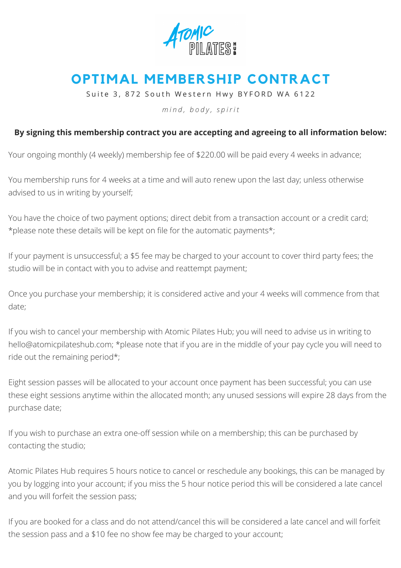

## **OPTIMAL MEMBERSHIP CONTRACT**

Suite 3, 872 South Western Hwy BYFORD WA 6122

*m i n d , b o d y , s p i r i t*

## **By signing this membership contract you are accepting and agreeing to all information below:**

Your ongoing monthly (4 weekly) membership fee of \$220.00 will be paid every 4 weeks in advance;

You membership runs for 4 weeks at a time and will auto renew upon the last day; unless otherwise advised to us in writing by yourself;

You have the choice of two payment options; direct debit from a transaction account or a credit card; \*please note these details will be kept on file for the automatic payments\*;

If your payment is unsuccessful; a \$5 fee may be charged to your account to cover third party fees; the studio will be in contact with you to advise and reattempt payment;

Once you purchase your membership; it is considered active and your 4 weeks will commence from that date;

If you wish to cancel your membership with Atomic Pilates Hub; you will need to advise us in writing to [hello@atomicpilateshub.com;](mailto:hello@atomicpilates.com.au) \*please note that if you are in the middle of your pay cycle you will need to ride out the remaining period\*;

Eight session passes will be allocated to your account once payment has been successful; you can use these eight sessions anytime within the allocated month; any unused sessions will expire 28 days from the purchase date;

If you wish to purchase an extra one-off session while on a membership; this can be purchased by contacting the studio;

Atomic Pilates Hub requires 5 hours notice to cancel or reschedule any bookings, this can be managed by you by logging into your account; if you miss the 5 hour notice period this will be considered a late cancel and you will forfeit the session pass;

If you are booked for a class and do not attend/cancel this will be considered a late cancel and will forfeit the session pass and a \$10 fee no show fee may be charged to your account;